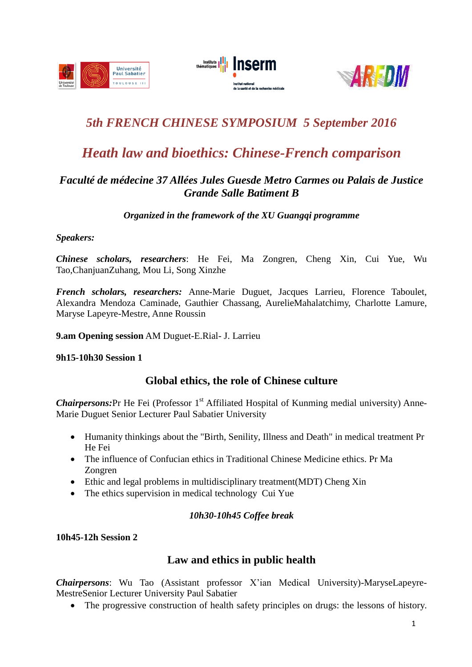





# *5th FRENCH CHINESE SYMPOSIUM 5 September 2016*

# *Heath law and bioethics: Chinese-French comparison*

# *Faculté de médecine 37 Allées Jules Guesde Metro Carmes ou Palais de Justice Grande Salle Batiment B*

*Organized in the framework of the XU Guangqi programme*

## *Speakers:*

*Chinese scholars, researchers*: He Fei, Ma Zongren, Cheng Xin, Cui Yue, Wu Tao,ChanjuanZuhang, Mou Li, Song Xinzhe

*French scholars, researchers:* Anne-Marie Duguet, Jacques Larrieu, Florence Taboulet, Alexandra Mendoza Caminade, Gauthier Chassang, AurelieMahalatchimy, Charlotte Lamure, Maryse Lapeyre-Mestre, Anne Roussin

**9.am Opening session** AM Duguet-E.Rial- J. Larrieu

## **9h15-10h30 Session 1**

# **Global ethics, the role of Chinese culture**

Chairpersons: Pr He Fei (Professor 1<sup>st</sup> Affiliated Hospital of Kunming medial university) Anne-Marie Duguet Senior Lecturer Paul Sabatier University

- Humanity thinkings about the "Birth, Senility, Illness and Death" in medical treatment Pr He Fei
- The influence of Confucian ethics in Traditional Chinese Medicine ethics. Pr Ma Zongren
- Ethic and legal problems in multidisciplinary treatment(MDT) Cheng Xin
- The ethics supervision in medical technology Cui Yue

## *10h30-10h45 Coffee break*

**10h45-12h Session 2**

# **Law and ethics in public health**

*Chairpersons*: Wu Tao (Assistant professor X'ian Medical University)-MaryseLapeyre-MestreSenior Lecturer University Paul Sabatier

The progressive construction of health safety principles on drugs: the lessons of history.